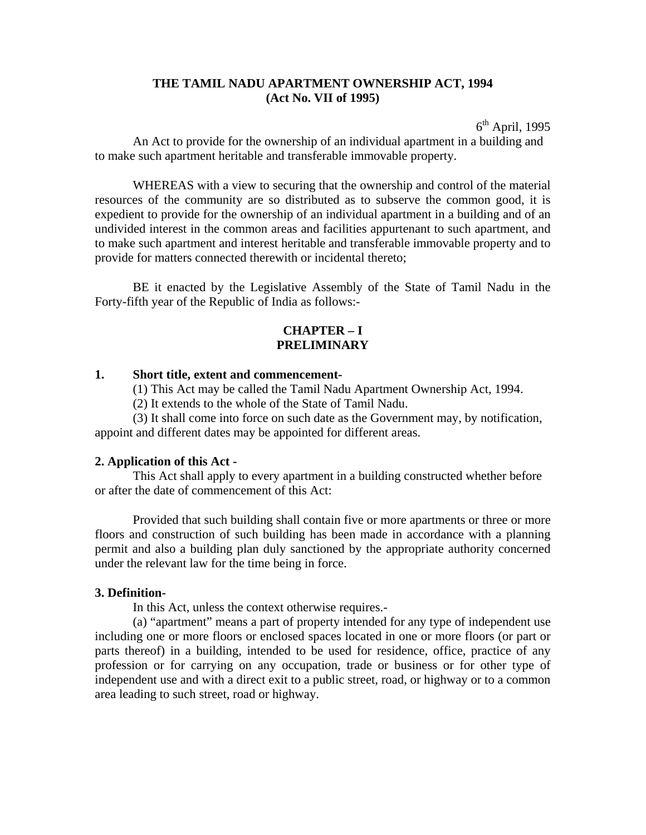## **THE TAMIL NADU APARTMENT OWNERSHIP ACT, 1994 (Act No. VII of 1995)**

 $6<sup>th</sup>$  April, 1995 An Act to provide for the ownership of an individual apartment in a building and to make such apartment heritable and transferable immovable property.

 WHEREAS with a view to securing that the ownership and control of the material resources of the community are so distributed as to subserve the common good, it is expedient to provide for the ownership of an individual apartment in a building and of an undivided interest in the common areas and facilities appurtenant to such apartment, and to make such apartment and interest heritable and transferable immovable property and to provide for matters connected therewith or incidental thereto;

 BE it enacted by the Legislative Assembly of the State of Tamil Nadu in the Forty-fifth year of the Republic of India as follows:-

# **CHAPTER – I PRELIMINARY**

#### **1. Short title, extent and commencement-**

(1) This Act may be called the Tamil Nadu Apartment Ownership Act, 1994.

(2) It extends to the whole of the State of Tamil Nadu.

 (3) It shall come into force on such date as the Government may, by notification, appoint and different dates may be appointed for different areas.

#### **2. Application of this Act -**

This Act shall apply to every apartment in a building constructed whether before or after the date of commencement of this Act:

 Provided that such building shall contain five or more apartments or three or more floors and construction of such building has been made in accordance with a planning permit and also a building plan duly sanctioned by the appropriate authority concerned under the relevant law for the time being in force.

#### **3. Definition-**

In this Act, unless the context otherwise requires.-

 (a) "apartment" means a part of property intended for any type of independent use including one or more floors or enclosed spaces located in one or more floors (or part or parts thereof) in a building, intended to be used for residence, office, practice of any profession or for carrying on any occupation, trade or business or for other type of independent use and with a direct exit to a public street, road, or highway or to a common area leading to such street, road or highway.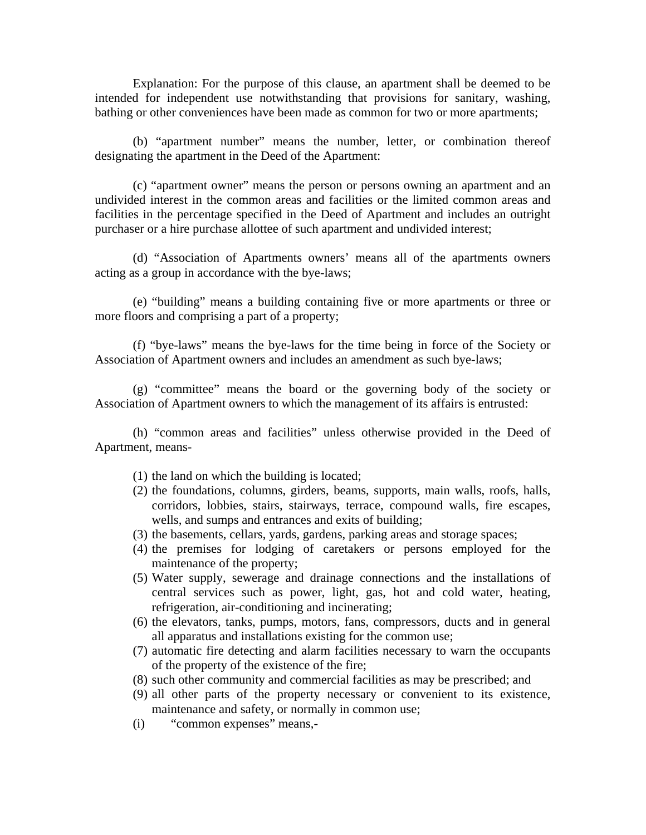Explanation: For the purpose of this clause, an apartment shall be deemed to be intended for independent use notwithstanding that provisions for sanitary, washing, bathing or other conveniences have been made as common for two or more apartments;

 (b) "apartment number" means the number, letter, or combination thereof designating the apartment in the Deed of the Apartment:

 (c) "apartment owner" means the person or persons owning an apartment and an undivided interest in the common areas and facilities or the limited common areas and facilities in the percentage specified in the Deed of Apartment and includes an outright purchaser or a hire purchase allottee of such apartment and undivided interest;

 (d) "Association of Apartments owners' means all of the apartments owners acting as a group in accordance with the bye-laws;

 (e) "building" means a building containing five or more apartments or three or more floors and comprising a part of a property;

 (f) "bye-laws" means the bye-laws for the time being in force of the Society or Association of Apartment owners and includes an amendment as such bye-laws;

 (g) "committee" means the board or the governing body of the society or Association of Apartment owners to which the management of its affairs is entrusted:

 (h) "common areas and facilities" unless otherwise provided in the Deed of Apartment, means-

- (1) the land on which the building is located;
- (2) the foundations, columns, girders, beams, supports, main walls, roofs, halls, corridors, lobbies, stairs, stairways, terrace, compound walls, fire escapes, wells, and sumps and entrances and exits of building;
- (3) the basements, cellars, yards, gardens, parking areas and storage spaces;
- (4) the premises for lodging of caretakers or persons employed for the maintenance of the property;
- (5) Water supply, sewerage and drainage connections and the installations of central services such as power, light, gas, hot and cold water, heating, refrigeration, air-conditioning and incinerating;
- (6) the elevators, tanks, pumps, motors, fans, compressors, ducts and in general all apparatus and installations existing for the common use;
- (7) automatic fire detecting and alarm facilities necessary to warn the occupants of the property of the existence of the fire;
- (8) such other community and commercial facilities as may be prescribed; and
- (9) all other parts of the property necessary or convenient to its existence, maintenance and safety, or normally in common use;
- (i) "common expenses" means,-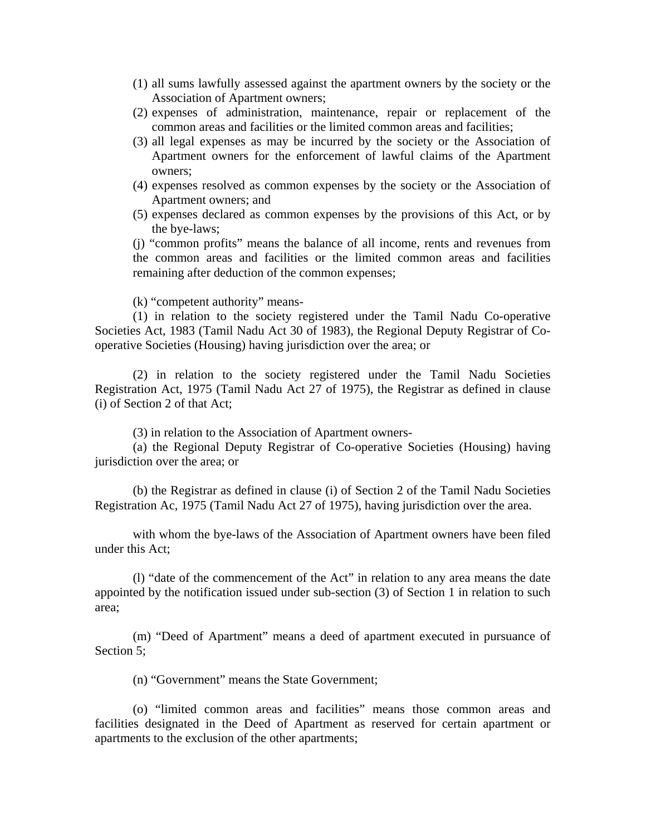- (1) all sums lawfully assessed against the apartment owners by the society or the Association of Apartment owners;
- (2) expenses of administration, maintenance, repair or replacement of the common areas and facilities or the limited common areas and facilities;
- (3) all legal expenses as may be incurred by the society or the Association of Apartment owners for the enforcement of lawful claims of the Apartment owners;
- (4) expenses resolved as common expenses by the society or the Association of Apartment owners; and
- (5) expenses declared as common expenses by the provisions of this Act, or by the bye-laws;

(j) "common profits" means the balance of all income, rents and revenues from the common areas and facilities or the limited common areas and facilities remaining after deduction of the common expenses;

(k) "competent authority" means-

 (1) in relation to the society registered under the Tamil Nadu Co-operative Societies Act, 1983 (Tamil Nadu Act 30 of 1983), the Regional Deputy Registrar of Cooperative Societies (Housing) having jurisdiction over the area; or

 (2) in relation to the society registered under the Tamil Nadu Societies Registration Act, 1975 (Tamil Nadu Act 27 of 1975), the Registrar as defined in clause (i) of Section 2 of that Act;

(3) in relation to the Association of Apartment owners-

 (a) the Regional Deputy Registrar of Co-operative Societies (Housing) having jurisdiction over the area; or

 (b) the Registrar as defined in clause (i) of Section 2 of the Tamil Nadu Societies Registration Ac, 1975 (Tamil Nadu Act 27 of 1975), having jurisdiction over the area.

 with whom the bye-laws of the Association of Apartment owners have been filed under this Act;

 (l) "date of the commencement of the Act" in relation to any area means the date appointed by the notification issued under sub-section (3) of Section 1 in relation to such area;

 (m) "Deed of Apartment" means a deed of apartment executed in pursuance of Section 5:

(n) "Government" means the State Government;

 (o) "limited common areas and facilities" means those common areas and facilities designated in the Deed of Apartment as reserved for certain apartment or apartments to the exclusion of the other apartments;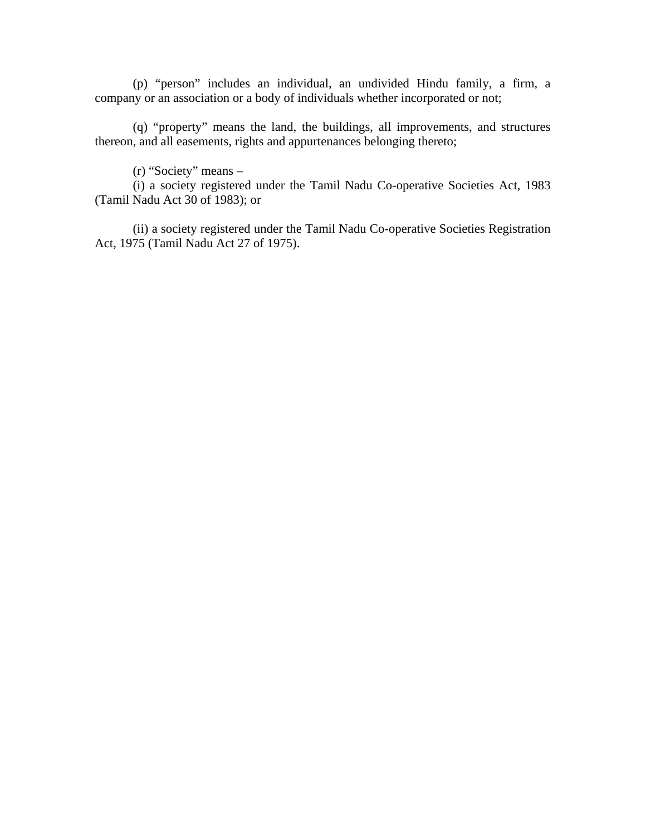(p) "person" includes an individual, an undivided Hindu family, a firm, a company or an association or a body of individuals whether incorporated or not;

 (q) "property" means the land, the buildings, all improvements, and structures thereon, and all easements, rights and appurtenances belonging thereto;

(r) "Society" means –

 (i) a society registered under the Tamil Nadu Co-operative Societies Act, 1983 (Tamil Nadu Act 30 of 1983); or

 (ii) a society registered under the Tamil Nadu Co-operative Societies Registration Act, 1975 (Tamil Nadu Act 27 of 1975).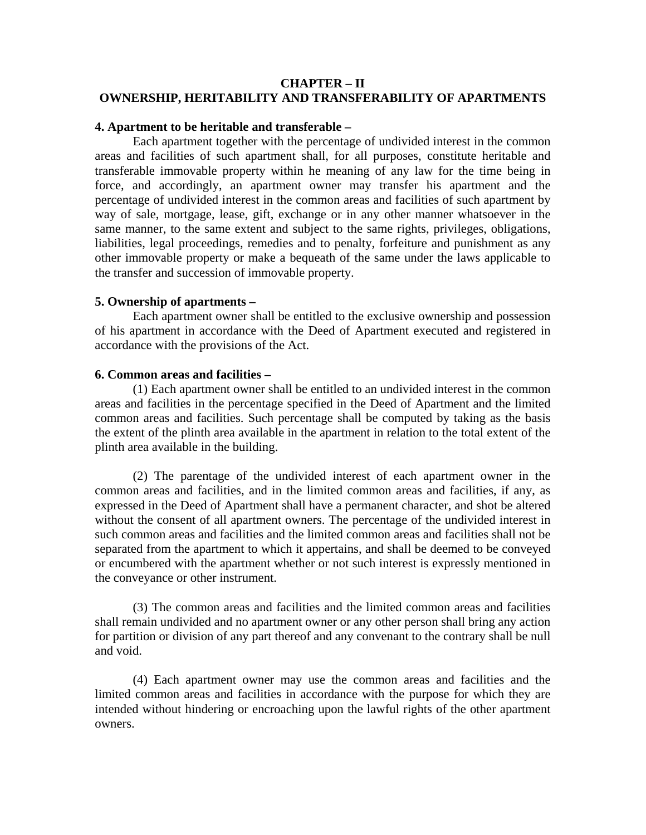# **CHAPTER – II OWNERSHIP, HERITABILITY AND TRANSFERABILITY OF APARTMENTS**

# **4. Apartment to be heritable and transferable –**

Each apartment together with the percentage of undivided interest in the common areas and facilities of such apartment shall, for all purposes, constitute heritable and transferable immovable property within he meaning of any law for the time being in force, and accordingly, an apartment owner may transfer his apartment and the percentage of undivided interest in the common areas and facilities of such apartment by way of sale, mortgage, lease, gift, exchange or in any other manner whatsoever in the same manner, to the same extent and subject to the same rights, privileges, obligations, liabilities, legal proceedings, remedies and to penalty, forfeiture and punishment as any other immovable property or make a bequeath of the same under the laws applicable to the transfer and succession of immovable property.

## **5. Ownership of apartments –**

Each apartment owner shall be entitled to the exclusive ownership and possession of his apartment in accordance with the Deed of Apartment executed and registered in accordance with the provisions of the Act.

## **6. Common areas and facilities –**

 (1) Each apartment owner shall be entitled to an undivided interest in the common areas and facilities in the percentage specified in the Deed of Apartment and the limited common areas and facilities. Such percentage shall be computed by taking as the basis the extent of the plinth area available in the apartment in relation to the total extent of the plinth area available in the building.

 (2) The parentage of the undivided interest of each apartment owner in the common areas and facilities, and in the limited common areas and facilities, if any, as expressed in the Deed of Apartment shall have a permanent character, and shot be altered without the consent of all apartment owners. The percentage of the undivided interest in such common areas and facilities and the limited common areas and facilities shall not be separated from the apartment to which it appertains, and shall be deemed to be conveyed or encumbered with the apartment whether or not such interest is expressly mentioned in the conveyance or other instrument.

 (3) The common areas and facilities and the limited common areas and facilities shall remain undivided and no apartment owner or any other person shall bring any action for partition or division of any part thereof and any convenant to the contrary shall be null and void.

 (4) Each apartment owner may use the common areas and facilities and the limited common areas and facilities in accordance with the purpose for which they are intended without hindering or encroaching upon the lawful rights of the other apartment owners.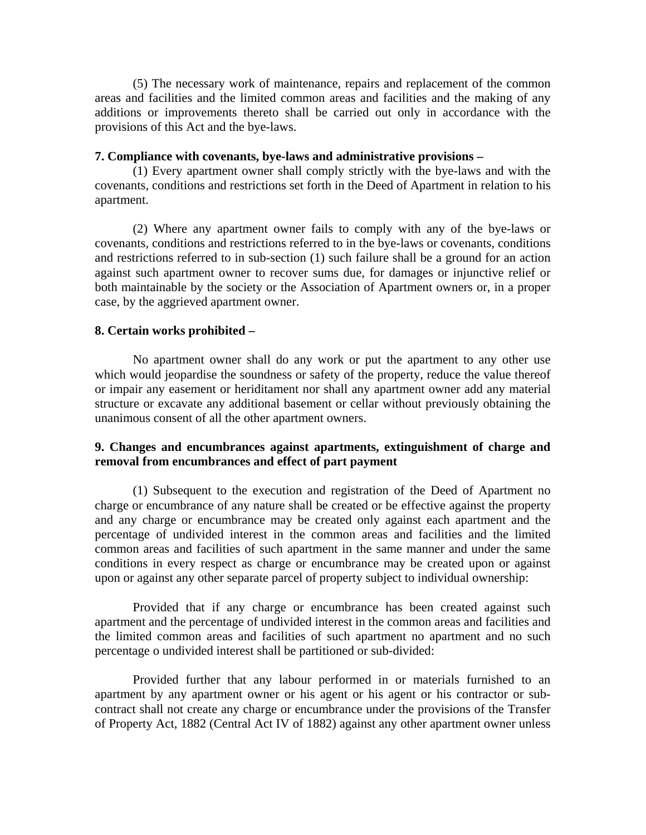(5) The necessary work of maintenance, repairs and replacement of the common areas and facilities and the limited common areas and facilities and the making of any additions or improvements thereto shall be carried out only in accordance with the provisions of this Act and the bye-laws.

#### **7. Compliance with covenants, bye-laws and administrative provisions –**

(1) Every apartment owner shall comply strictly with the bye-laws and with the covenants, conditions and restrictions set forth in the Deed of Apartment in relation to his apartment.

 (2) Where any apartment owner fails to comply with any of the bye-laws or covenants, conditions and restrictions referred to in the bye-laws or covenants, conditions and restrictions referred to in sub-section (1) such failure shall be a ground for an action against such apartment owner to recover sums due, for damages or injunctive relief or both maintainable by the society or the Association of Apartment owners or, in a proper case, by the aggrieved apartment owner.

#### **8. Certain works prohibited –**

 No apartment owner shall do any work or put the apartment to any other use which would jeopardise the soundness or safety of the property, reduce the value thereof or impair any easement or heriditament nor shall any apartment owner add any material structure or excavate any additional basement or cellar without previously obtaining the unanimous consent of all the other apartment owners.

# **9. Changes and encumbrances against apartments, extinguishment of charge and removal from encumbrances and effect of part payment**

(1) Subsequent to the execution and registration of the Deed of Apartment no charge or encumbrance of any nature shall be created or be effective against the property and any charge or encumbrance may be created only against each apartment and the percentage of undivided interest in the common areas and facilities and the limited common areas and facilities of such apartment in the same manner and under the same conditions in every respect as charge or encumbrance may be created upon or against upon or against any other separate parcel of property subject to individual ownership:

 Provided that if any charge or encumbrance has been created against such apartment and the percentage of undivided interest in the common areas and facilities and the limited common areas and facilities of such apartment no apartment and no such percentage o undivided interest shall be partitioned or sub-divided:

 Provided further that any labour performed in or materials furnished to an apartment by any apartment owner or his agent or his agent or his contractor or subcontract shall not create any charge or encumbrance under the provisions of the Transfer of Property Act, 1882 (Central Act IV of 1882) against any other apartment owner unless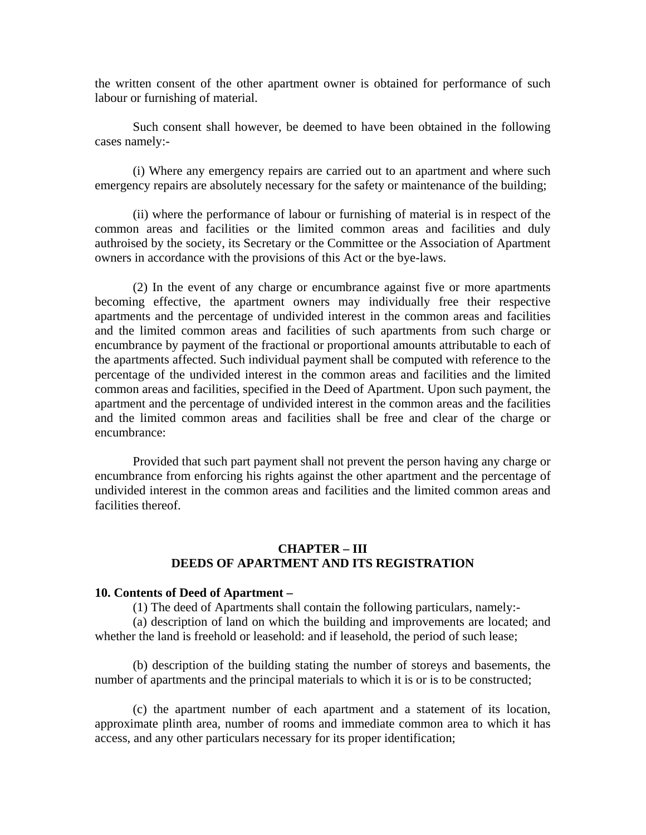the written consent of the other apartment owner is obtained for performance of such labour or furnishing of material.

 Such consent shall however, be deemed to have been obtained in the following cases namely:-

 (i) Where any emergency repairs are carried out to an apartment and where such emergency repairs are absolutely necessary for the safety or maintenance of the building;

 (ii) where the performance of labour or furnishing of material is in respect of the common areas and facilities or the limited common areas and facilities and duly authroised by the society, its Secretary or the Committee or the Association of Apartment owners in accordance with the provisions of this Act or the bye-laws.

 (2) In the event of any charge or encumbrance against five or more apartments becoming effective, the apartment owners may individually free their respective apartments and the percentage of undivided interest in the common areas and facilities and the limited common areas and facilities of such apartments from such charge or encumbrance by payment of the fractional or proportional amounts attributable to each of the apartments affected. Such individual payment shall be computed with reference to the percentage of the undivided interest in the common areas and facilities and the limited common areas and facilities, specified in the Deed of Apartment. Upon such payment, the apartment and the percentage of undivided interest in the common areas and the facilities and the limited common areas and facilities shall be free and clear of the charge or encumbrance:

 Provided that such part payment shall not prevent the person having any charge or encumbrance from enforcing his rights against the other apartment and the percentage of undivided interest in the common areas and facilities and the limited common areas and facilities thereof.

## **CHAPTER – III DEEDS OF APARTMENT AND ITS REGISTRATION**

#### **10. Contents of Deed of Apartment –**

(1) The deed of Apartments shall contain the following particulars, namely:-

 (a) description of land on which the building and improvements are located; and whether the land is freehold or leasehold: and if leasehold, the period of such lease;

 (b) description of the building stating the number of storeys and basements, the number of apartments and the principal materials to which it is or is to be constructed;

 (c) the apartment number of each apartment and a statement of its location, approximate plinth area, number of rooms and immediate common area to which it has access, and any other particulars necessary for its proper identification;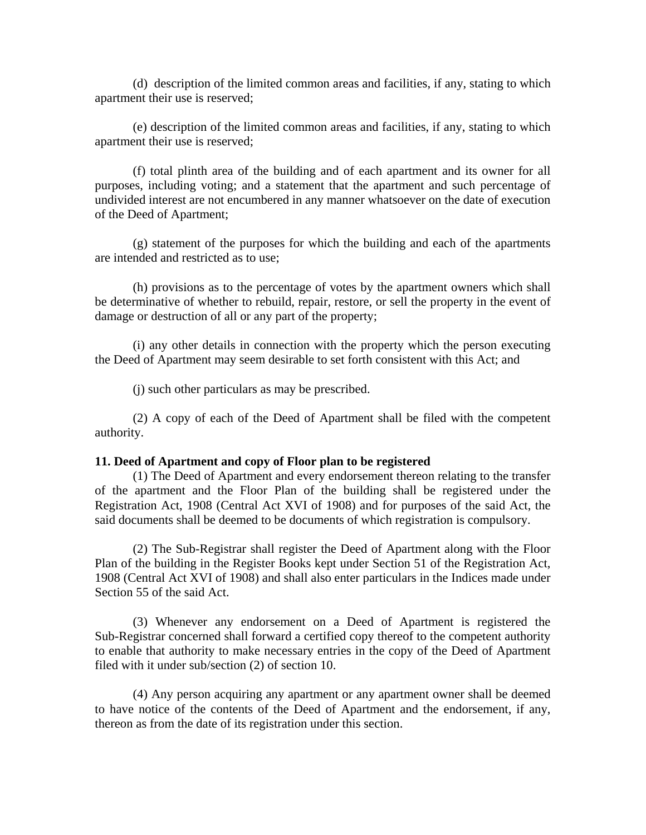(d) description of the limited common areas and facilities, if any, stating to which apartment their use is reserved;

 (e) description of the limited common areas and facilities, if any, stating to which apartment their use is reserved;

 (f) total plinth area of the building and of each apartment and its owner for all purposes, including voting; and a statement that the apartment and such percentage of undivided interest are not encumbered in any manner whatsoever on the date of execution of the Deed of Apartment;

 (g) statement of the purposes for which the building and each of the apartments are intended and restricted as to use;

 (h) provisions as to the percentage of votes by the apartment owners which shall be determinative of whether to rebuild, repair, restore, or sell the property in the event of damage or destruction of all or any part of the property;

 (i) any other details in connection with the property which the person executing the Deed of Apartment may seem desirable to set forth consistent with this Act; and

(j) such other particulars as may be prescribed.

 (2) A copy of each of the Deed of Apartment shall be filed with the competent authority.

#### **11. Deed of Apartment and copy of Floor plan to be registered**

(1) The Deed of Apartment and every endorsement thereon relating to the transfer of the apartment and the Floor Plan of the building shall be registered under the Registration Act, 1908 (Central Act XVI of 1908) and for purposes of the said Act, the said documents shall be deemed to be documents of which registration is compulsory.

 (2) The Sub-Registrar shall register the Deed of Apartment along with the Floor Plan of the building in the Register Books kept under Section 51 of the Registration Act, 1908 (Central Act XVI of 1908) and shall also enter particulars in the Indices made under Section 55 of the said Act.

 (3) Whenever any endorsement on a Deed of Apartment is registered the Sub-Registrar concerned shall forward a certified copy thereof to the competent authority to enable that authority to make necessary entries in the copy of the Deed of Apartment filed with it under sub/section (2) of section 10.

 (4) Any person acquiring any apartment or any apartment owner shall be deemed to have notice of the contents of the Deed of Apartment and the endorsement, if any, thereon as from the date of its registration under this section.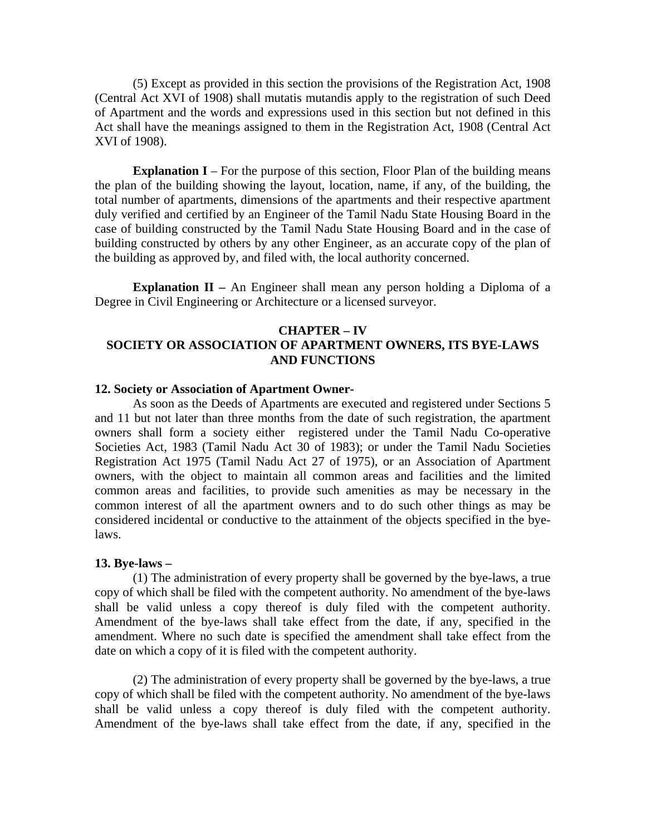(5) Except as provided in this section the provisions of the Registration Act, 1908 (Central Act XVI of 1908) shall mutatis mutandis apply to the registration of such Deed of Apartment and the words and expressions used in this section but not defined in this Act shall have the meanings assigned to them in the Registration Act, 1908 (Central Act XVI of 1908).

**Explanation I** – For the purpose of this section, Floor Plan of the building means the plan of the building showing the layout, location, name, if any, of the building, the total number of apartments, dimensions of the apartments and their respective apartment duly verified and certified by an Engineer of the Tamil Nadu State Housing Board in the case of building constructed by the Tamil Nadu State Housing Board and in the case of building constructed by others by any other Engineer, as an accurate copy of the plan of the building as approved by, and filed with, the local authority concerned.

**Explanation II** – An Engineer shall mean any person holding a Diploma of a Degree in Civil Engineering or Architecture or a licensed surveyor.

# **CHAPTER – IV SOCIETY OR ASSOCIATION OF APARTMENT OWNERS, ITS BYE-LAWS AND FUNCTIONS**

#### **12. Society or Association of Apartment Owner-**

 As soon as the Deeds of Apartments are executed and registered under Sections 5 and 11 but not later than three months from the date of such registration, the apartment owners shall form a society either registered under the Tamil Nadu Co-operative Societies Act, 1983 (Tamil Nadu Act 30 of 1983); or under the Tamil Nadu Societies Registration Act 1975 (Tamil Nadu Act 27 of 1975), or an Association of Apartment owners, with the object to maintain all common areas and facilities and the limited common areas and facilities, to provide such amenities as may be necessary in the common interest of all the apartment owners and to do such other things as may be considered incidental or conductive to the attainment of the objects specified in the byelaws.

#### **13. Bye-laws –**

 (1) The administration of every property shall be governed by the bye-laws, a true copy of which shall be filed with the competent authority. No amendment of the bye-laws shall be valid unless a copy thereof is duly filed with the competent authority. Amendment of the bye-laws shall take effect from the date, if any, specified in the amendment. Where no such date is specified the amendment shall take effect from the date on which a copy of it is filed with the competent authority.

 (2) The administration of every property shall be governed by the bye-laws, a true copy of which shall be filed with the competent authority. No amendment of the bye-laws shall be valid unless a copy thereof is duly filed with the competent authority. Amendment of the bye-laws shall take effect from the date, if any, specified in the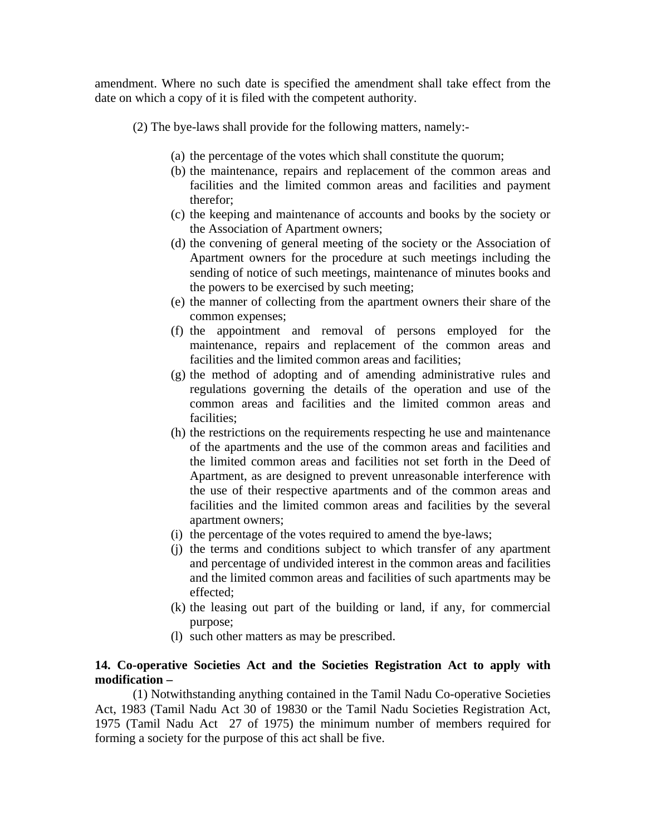amendment. Where no such date is specified the amendment shall take effect from the date on which a copy of it is filed with the competent authority.

(2) The bye-laws shall provide for the following matters, namely:-

- (a) the percentage of the votes which shall constitute the quorum;
- (b) the maintenance, repairs and replacement of the common areas and facilities and the limited common areas and facilities and payment therefor;
- (c) the keeping and maintenance of accounts and books by the society or the Association of Apartment owners;
- (d) the convening of general meeting of the society or the Association of Apartment owners for the procedure at such meetings including the sending of notice of such meetings, maintenance of minutes books and the powers to be exercised by such meeting;
- (e) the manner of collecting from the apartment owners their share of the common expenses;
- (f) the appointment and removal of persons employed for the maintenance, repairs and replacement of the common areas and facilities and the limited common areas and facilities;
- (g) the method of adopting and of amending administrative rules and regulations governing the details of the operation and use of the common areas and facilities and the limited common areas and facilities;
- (h) the restrictions on the requirements respecting he use and maintenance of the apartments and the use of the common areas and facilities and the limited common areas and facilities not set forth in the Deed of Apartment, as are designed to prevent unreasonable interference with the use of their respective apartments and of the common areas and facilities and the limited common areas and facilities by the several apartment owners;
- (i) the percentage of the votes required to amend the bye-laws;
- (j) the terms and conditions subject to which transfer of any apartment and percentage of undivided interest in the common areas and facilities and the limited common areas and facilities of such apartments may be effected;
- (k) the leasing out part of the building or land, if any, for commercial purpose;
- (l) such other matters as may be prescribed.

# **14. Co-operative Societies Act and the Societies Registration Act to apply with modification –**

 (1) Notwithstanding anything contained in the Tamil Nadu Co-operative Societies Act, 1983 (Tamil Nadu Act 30 of 19830 or the Tamil Nadu Societies Registration Act, 1975 (Tamil Nadu Act 27 of 1975) the minimum number of members required for forming a society for the purpose of this act shall be five.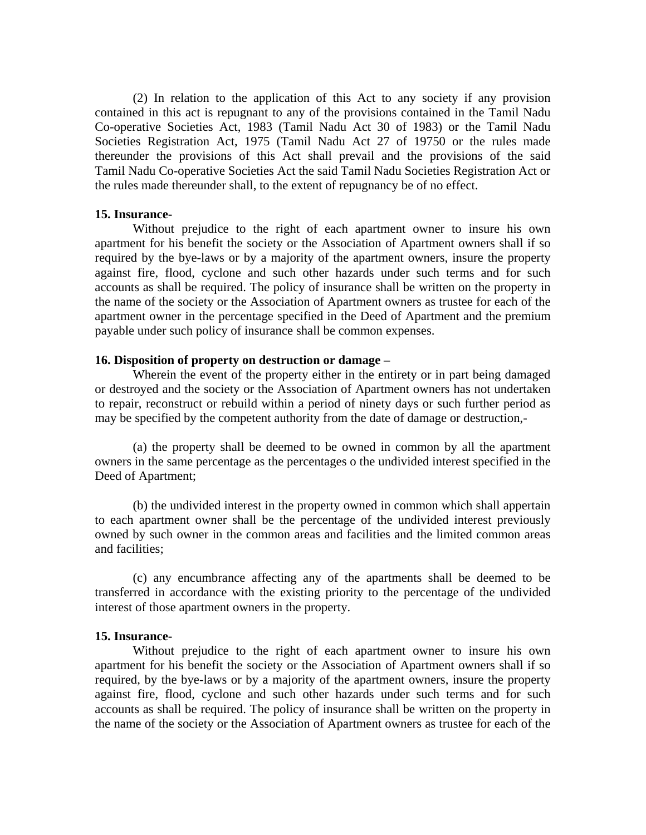(2) In relation to the application of this Act to any society if any provision contained in this act is repugnant to any of the provisions contained in the Tamil Nadu Co-operative Societies Act, 1983 (Tamil Nadu Act 30 of 1983) or the Tamil Nadu Societies Registration Act, 1975 (Tamil Nadu Act 27 of 19750 or the rules made thereunder the provisions of this Act shall prevail and the provisions of the said Tamil Nadu Co-operative Societies Act the said Tamil Nadu Societies Registration Act or the rules made thereunder shall, to the extent of repugnancy be of no effect.

## **15. Insurance-**

 Without prejudice to the right of each apartment owner to insure his own apartment for his benefit the society or the Association of Apartment owners shall if so required by the bye-laws or by a majority of the apartment owners, insure the property against fire, flood, cyclone and such other hazards under such terms and for such accounts as shall be required. The policy of insurance shall be written on the property in the name of the society or the Association of Apartment owners as trustee for each of the apartment owner in the percentage specified in the Deed of Apartment and the premium payable under such policy of insurance shall be common expenses.

### **16. Disposition of property on destruction or damage –**

 Wherein the event of the property either in the entirety or in part being damaged or destroyed and the society or the Association of Apartment owners has not undertaken to repair, reconstruct or rebuild within a period of ninety days or such further period as may be specified by the competent authority from the date of damage or destruction,-

 (a) the property shall be deemed to be owned in common by all the apartment owners in the same percentage as the percentages o the undivided interest specified in the Deed of Apartment;

 (b) the undivided interest in the property owned in common which shall appertain to each apartment owner shall be the percentage of the undivided interest previously owned by such owner in the common areas and facilities and the limited common areas and facilities;

 (c) any encumbrance affecting any of the apartments shall be deemed to be transferred in accordance with the existing priority to the percentage of the undivided interest of those apartment owners in the property.

#### **15. Insurance-**

 Without prejudice to the right of each apartment owner to insure his own apartment for his benefit the society or the Association of Apartment owners shall if so required, by the bye-laws or by a majority of the apartment owners, insure the property against fire, flood, cyclone and such other hazards under such terms and for such accounts as shall be required. The policy of insurance shall be written on the property in the name of the society or the Association of Apartment owners as trustee for each of the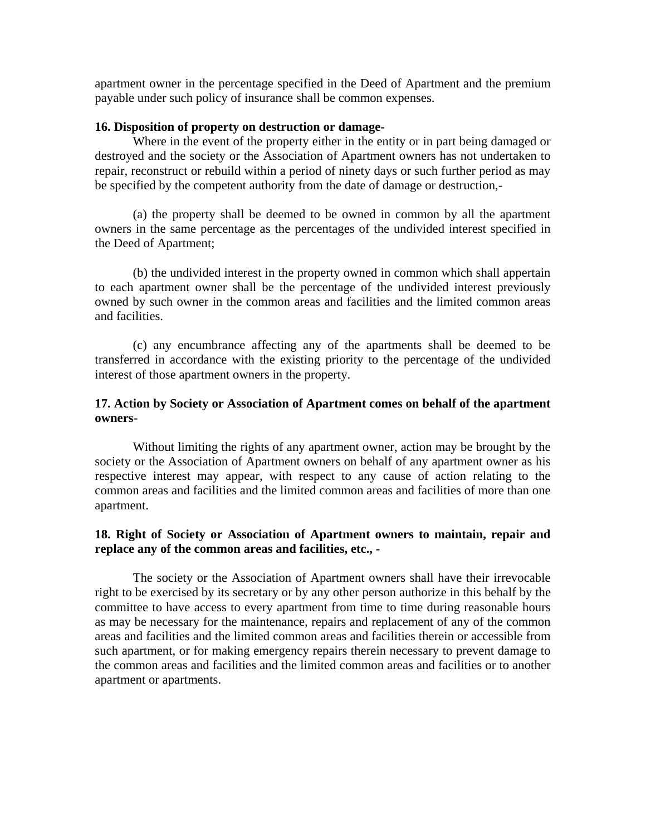apartment owner in the percentage specified in the Deed of Apartment and the premium payable under such policy of insurance shall be common expenses.

### **16. Disposition of property on destruction or damage-**

 Where in the event of the property either in the entity or in part being damaged or destroyed and the society or the Association of Apartment owners has not undertaken to repair, reconstruct or rebuild within a period of ninety days or such further period as may be specified by the competent authority from the date of damage or destruction,-

 (a) the property shall be deemed to be owned in common by all the apartment owners in the same percentage as the percentages of the undivided interest specified in the Deed of Apartment;

 (b) the undivided interest in the property owned in common which shall appertain to each apartment owner shall be the percentage of the undivided interest previously owned by such owner in the common areas and facilities and the limited common areas and facilities.

 (c) any encumbrance affecting any of the apartments shall be deemed to be transferred in accordance with the existing priority to the percentage of the undivided interest of those apartment owners in the property.

# **17. Action by Society or Association of Apartment comes on behalf of the apartment owners-**

 Without limiting the rights of any apartment owner, action may be brought by the society or the Association of Apartment owners on behalf of any apartment owner as his respective interest may appear, with respect to any cause of action relating to the common areas and facilities and the limited common areas and facilities of more than one apartment.

# **18. Right of Society or Association of Apartment owners to maintain, repair and replace any of the common areas and facilities, etc., -**

The society or the Association of Apartment owners shall have their irrevocable right to be exercised by its secretary or by any other person authorize in this behalf by the committee to have access to every apartment from time to time during reasonable hours as may be necessary for the maintenance, repairs and replacement of any of the common areas and facilities and the limited common areas and facilities therein or accessible from such apartment, or for making emergency repairs therein necessary to prevent damage to the common areas and facilities and the limited common areas and facilities or to another apartment or apartments.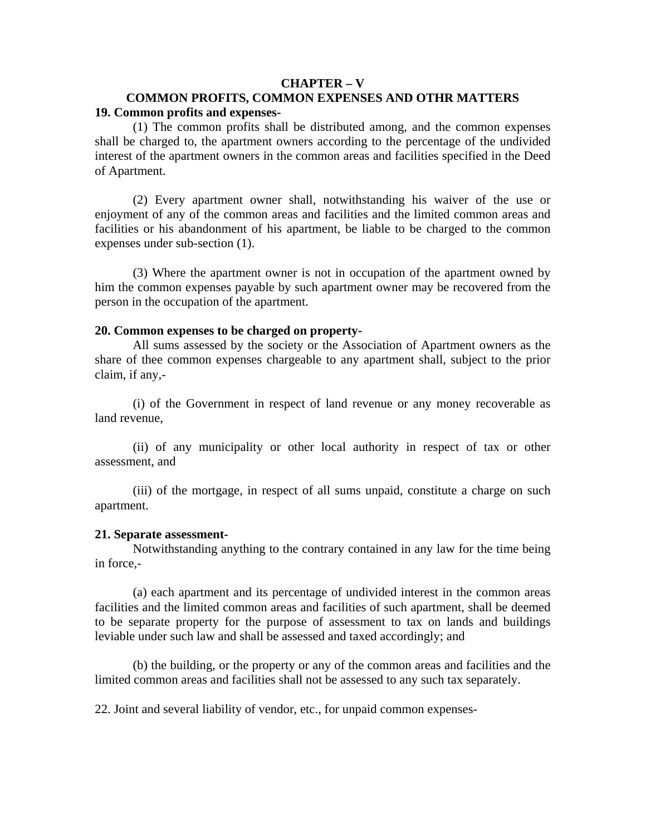### **CHAPTER – V**

## **COMMON PROFITS, COMMON EXPENSES AND OTHR MATTERS 19. Common profits and expenses-**

(1) The common profits shall be distributed among, and the common expenses shall be charged to, the apartment owners according to the percentage of the undivided interest of the apartment owners in the common areas and facilities specified in the Deed of Apartment.

 (2) Every apartment owner shall, notwithstanding his waiver of the use or enjoyment of any of the common areas and facilities and the limited common areas and facilities or his abandonment of his apartment, be liable to be charged to the common expenses under sub-section (1).

 (3) Where the apartment owner is not in occupation of the apartment owned by him the common expenses payable by such apartment owner may be recovered from the person in the occupation of the apartment.

#### **20. Common expenses to be charged on property-**

All sums assessed by the society or the Association of Apartment owners as the share of thee common expenses chargeable to any apartment shall, subject to the prior claim, if any,-

 (i) of the Government in respect of land revenue or any money recoverable as land revenue,

 (ii) of any municipality or other local authority in respect of tax or other assessment, and

 (iii) of the mortgage, in respect of all sums unpaid, constitute a charge on such apartment.

#### **21. Separate assessment-**

Notwithstanding anything to the contrary contained in any law for the time being in force,-

 (a) each apartment and its percentage of undivided interest in the common areas facilities and the limited common areas and facilities of such apartment, shall be deemed to be separate property for the purpose of assessment to tax on lands and buildings leviable under such law and shall be assessed and taxed accordingly; and

 (b) the building, or the property or any of the common areas and facilities and the limited common areas and facilities shall not be assessed to any such tax separately.

22. Joint and several liability of vendor, etc., for unpaid common expenses-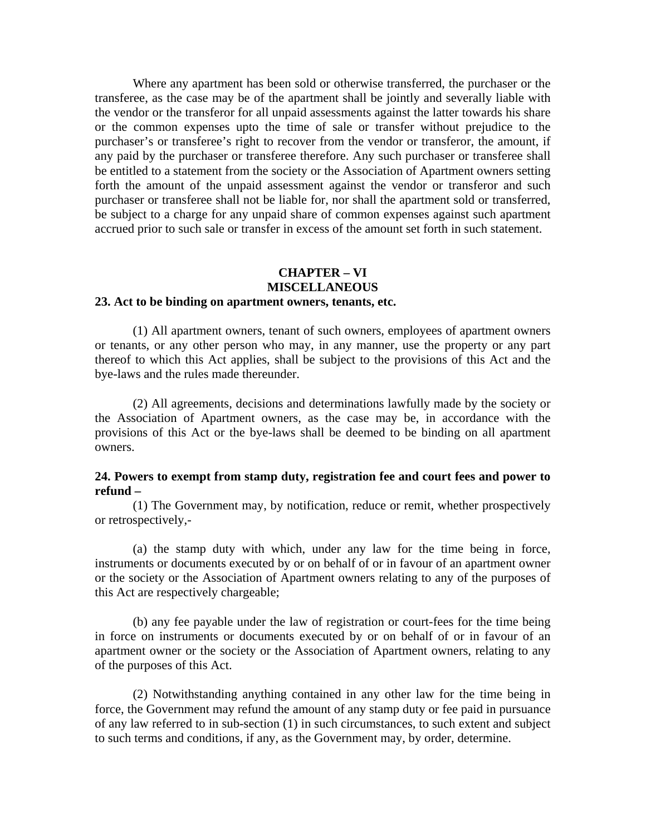Where any apartment has been sold or otherwise transferred, the purchaser or the transferee, as the case may be of the apartment shall be jointly and severally liable with the vendor or the transferor for all unpaid assessments against the latter towards his share or the common expenses upto the time of sale or transfer without prejudice to the purchaser's or transferee's right to recover from the vendor or transferor, the amount, if any paid by the purchaser or transferee therefore. Any such purchaser or transferee shall be entitled to a statement from the society or the Association of Apartment owners setting forth the amount of the unpaid assessment against the vendor or transferor and such purchaser or transferee shall not be liable for, nor shall the apartment sold or transferred, be subject to a charge for any unpaid share of common expenses against such apartment accrued prior to such sale or transfer in excess of the amount set forth in such statement.

# **CHAPTER – VI MISCELLANEOUS**

# **23. Act to be binding on apartment owners, tenants, etc.**

 (1) All apartment owners, tenant of such owners, employees of apartment owners or tenants, or any other person who may, in any manner, use the property or any part thereof to which this Act applies, shall be subject to the provisions of this Act and the bye-laws and the rules made thereunder.

 (2) All agreements, decisions and determinations lawfully made by the society or the Association of Apartment owners, as the case may be, in accordance with the provisions of this Act or the bye-laws shall be deemed to be binding on all apartment owners.

## **24. Powers to exempt from stamp duty, registration fee and court fees and power to refund –**

(1) The Government may, by notification, reduce or remit, whether prospectively or retrospectively,-

 (a) the stamp duty with which, under any law for the time being in force, instruments or documents executed by or on behalf of or in favour of an apartment owner or the society or the Association of Apartment owners relating to any of the purposes of this Act are respectively chargeable;

 (b) any fee payable under the law of registration or court-fees for the time being in force on instruments or documents executed by or on behalf of or in favour of an apartment owner or the society or the Association of Apartment owners, relating to any of the purposes of this Act.

 (2) Notwithstanding anything contained in any other law for the time being in force, the Government may refund the amount of any stamp duty or fee paid in pursuance of any law referred to in sub-section (1) in such circumstances, to such extent and subject to such terms and conditions, if any, as the Government may, by order, determine.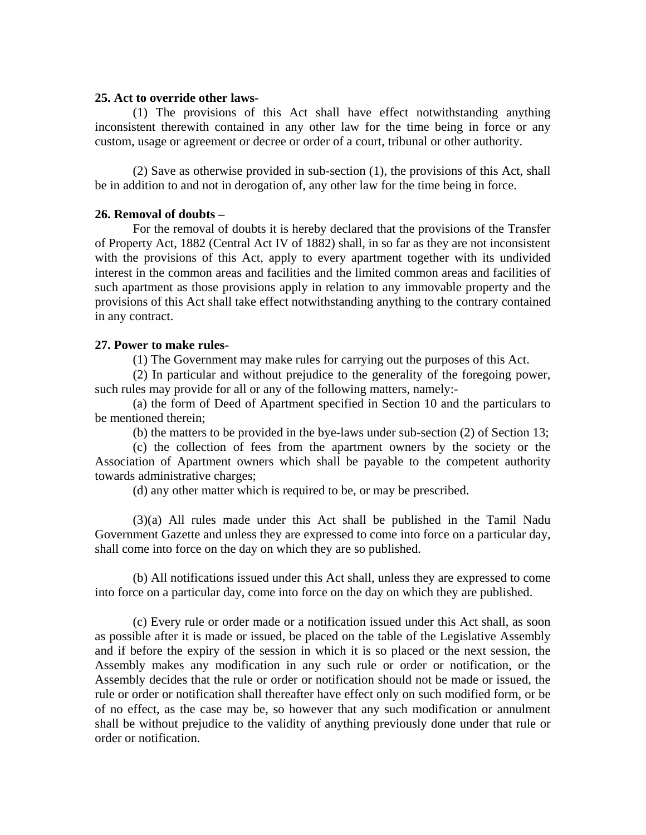#### **25. Act to override other laws-**

(1) The provisions of this Act shall have effect notwithstanding anything inconsistent therewith contained in any other law for the time being in force or any custom, usage or agreement or decree or order of a court, tribunal or other authority.

 (2) Save as otherwise provided in sub-section (1), the provisions of this Act, shall be in addition to and not in derogation of, any other law for the time being in force.

### **26. Removal of doubts –**

 For the removal of doubts it is hereby declared that the provisions of the Transfer of Property Act, 1882 (Central Act IV of 1882) shall, in so far as they are not inconsistent with the provisions of this Act, apply to every apartment together with its undivided interest in the common areas and facilities and the limited common areas and facilities of such apartment as those provisions apply in relation to any immovable property and the provisions of this Act shall take effect notwithstanding anything to the contrary contained in any contract.

## **27. Power to make rules-**

(1) The Government may make rules for carrying out the purposes of this Act.

 (2) In particular and without prejudice to the generality of the foregoing power, such rules may provide for all or any of the following matters, namely:-

 (a) the form of Deed of Apartment specified in Section 10 and the particulars to be mentioned therein;

(b) the matters to be provided in the bye-laws under sub-section (2) of Section 13;

 (c) the collection of fees from the apartment owners by the society or the Association of Apartment owners which shall be payable to the competent authority towards administrative charges;

(d) any other matter which is required to be, or may be prescribed.

 (3)(a) All rules made under this Act shall be published in the Tamil Nadu Government Gazette and unless they are expressed to come into force on a particular day, shall come into force on the day on which they are so published.

 (b) All notifications issued under this Act shall, unless they are expressed to come into force on a particular day, come into force on the day on which they are published.

 (c) Every rule or order made or a notification issued under this Act shall, as soon as possible after it is made or issued, be placed on the table of the Legislative Assembly and if before the expiry of the session in which it is so placed or the next session, the Assembly makes any modification in any such rule or order or notification, or the Assembly decides that the rule or order or notification should not be made or issued, the rule or order or notification shall thereafter have effect only on such modified form, or be of no effect, as the case may be, so however that any such modification or annulment shall be without prejudice to the validity of anything previously done under that rule or order or notification.